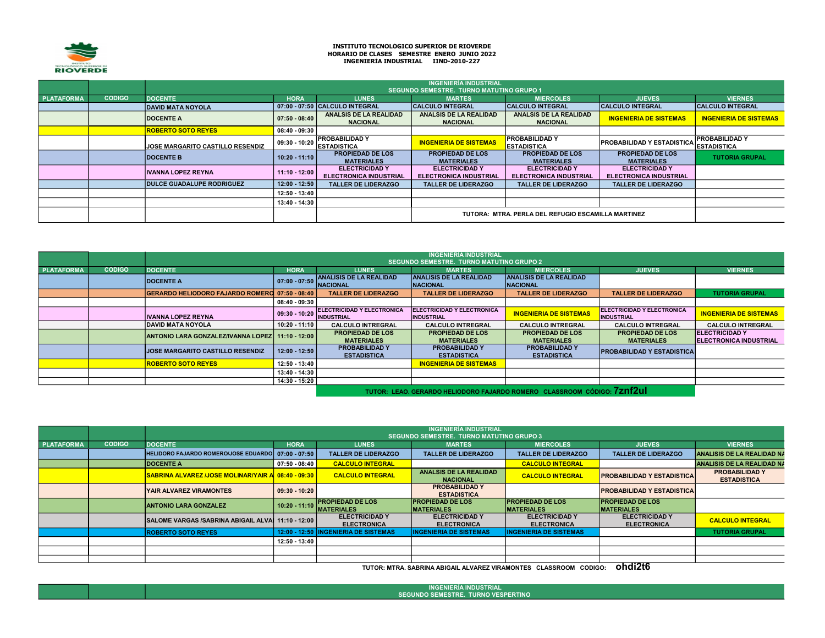

## INSTITUTO TECNOLÓGICO SUPERIOR DE RIOVERDE HORARIO DE CLASES SEMESTRE ENERO JUNIO 2022 INGENIERÍA INDUSTRIAL IIND-2010-227

|                   |               | <b>INGENIERÍA INDUSTRIAL</b><br><b>SEGUNDO SEMESTRE. TURNO MATUTINO GRUPO 1</b> |                                                    |                                                        |                                                        |                                                        |                                                        |                                            |  |  |  |
|-------------------|---------------|---------------------------------------------------------------------------------|----------------------------------------------------|--------------------------------------------------------|--------------------------------------------------------|--------------------------------------------------------|--------------------------------------------------------|--------------------------------------------|--|--|--|
| <b>PLATAFORMA</b> | <b>CODIGO</b> | <b>DOCENTE</b>                                                                  | <b>HORA</b>                                        | <b>LUNES</b>                                           | <b>MARTES</b>                                          | <b>MIERCOLES</b>                                       | <b>JUEVES</b>                                          | <b>VIERNES</b>                             |  |  |  |
|                   |               | <b>DAVID MATA NOYOLA</b>                                                        |                                                    | 07:00 - 07:50 CALCULO INTEGRAL                         | <b>CALCULO INTEGRAL</b>                                | <b>CALCULO INTEGRAL</b>                                | <b>CALCULO INTEGRAL</b>                                | <b>CALCULO INTEGRAL</b>                    |  |  |  |
|                   |               | <b>DOCENTE A</b>                                                                | $07:50 - 08:40$                                    | ANALSIS DE LA REALIDAD<br><b>NACIONAL</b>              | <b>ANALSIS DE LA REALIDAD</b><br><b>NACIONAL</b>       | ANALSIS DE LA REALIDAD<br><b>NACIONAL</b>              | <b>INGENIERIA DE SISTEMAS</b>                          | <b>INGENIERIA DE SISTEMAS</b>              |  |  |  |
|                   |               | <b>ROBERTO SOTO REYES</b>                                                       | $08:40 - 09:30$                                    |                                                        |                                                        |                                                        |                                                        |                                            |  |  |  |
|                   |               | <b>JOSE MARGARITO CASTILLO RESENDIZ</b>                                         | $09:30 - 10:20$                                    | <b>PROBABILIDAD Y</b><br><b>IESTADISTICA</b>           | <b>INGENIERIA DE SISTEMAS</b>                          | <b>PROBABILIDAD Y</b><br><b>ESTADISTICA</b>            | <b>PROBABILIDAD Y ESTADISTICA</b>                      | <b>PROBABILIDADY</b><br><b>ESTADISTICA</b> |  |  |  |
|                   |               | <b>DOCENTE B</b>                                                                | $10:20 - 11:10$                                    | <b>PROPIEDAD DE LOS</b><br><b>MATERIALES</b>           | <b>PROPIEDAD DE LOS</b><br><b>MATERIALES</b>           | <b>PROPIEDAD DE LOS</b><br><b>MATERIALES</b>           | <b>PROPIEDAD DE LOS</b><br><b>MATERIALES</b>           | <b>TUTORIA GRUPAL</b>                      |  |  |  |
|                   |               | <b>IVANNA LOPEZ REYNA</b>                                                       | $11:10 - 12:00$                                    | <b>ELECTRICIDAD Y</b><br><b>ELECTRONICA INDUSTRIAL</b> | <b>ELECTRICIDAD Y</b><br><b>ELECTRONICA INDUSTRIAL</b> | <b>ELECTRICIDAD Y</b><br><b>ELECTRONICA INDUSTRIAL</b> | <b>ELECTRICIDAD Y</b><br><b>ELECTRONICA INDUSTRIAL</b> |                                            |  |  |  |
|                   |               | <b>DULCE GUADALUPE RODRIGUEZ</b>                                                | $12:00 - 12:50$                                    | <b>TALLER DE LIDERAZGO</b>                             | <b>TALLER DE LIDERAZGO</b>                             | <b>TALLER DE LIDERAZGO</b>                             | <b>TALLER DE LIDERAZGO</b>                             |                                            |  |  |  |
|                   |               |                                                                                 | 12:50 - 13:40                                      |                                                        |                                                        |                                                        |                                                        |                                            |  |  |  |
|                   |               |                                                                                 | 13:40 - 14:30                                      |                                                        |                                                        |                                                        |                                                        |                                            |  |  |  |
|                   |               |                                                                                 | TUTORA: MTRA. PERLA DEL REFUGIO ESCAMILLA MARTINEZ |                                                        |                                                        |                                                        |                                                        |                                            |  |  |  |

|                   |               | <b>INGENIERÍA INDUSTRIAL</b><br><b>SEGUNDO SEMESTRE. TURNO MATUTINO GRUPO 2</b> |                 |                                                         |                                                   |                                                                         |                                                        |                                                 |  |  |  |
|-------------------|---------------|---------------------------------------------------------------------------------|-----------------|---------------------------------------------------------|---------------------------------------------------|-------------------------------------------------------------------------|--------------------------------------------------------|-------------------------------------------------|--|--|--|
| <b>PLATAFORMA</b> | <b>CODIGO</b> | <b>DOCENTE</b>                                                                  | <b>HORA</b>     | <b>LUNES</b>                                            | <b>MARTES</b>                                     | <b>MIERCOLES</b>                                                        | <b>JUEVES</b>                                          | <b>VIERNES</b>                                  |  |  |  |
|                   |               | <b>DOCENTE A</b>                                                                | $07:00 - 07:50$ | <b>ANALISIS DE LA REALIDAD</b><br><b>NACIONAL</b>       | <b>ANALISIS DE LA REALIDAD</b><br><b>NACIONAL</b> | <b>ANALISIS DE LA REALIDAD</b><br><b>NACIONAL</b>                       |                                                        |                                                 |  |  |  |
|                   |               | GERARDO HELIODORO FAJARDO ROMERO 07:50 - 08:40                                  |                 | <b>TALLER DE LIDERAZGO</b>                              | <b>TALLER DE LIDERAZGO</b>                        | <b>TALLER DE LIDERAZGO</b>                                              | <b>TALLER DE LIDERAZGO</b>                             | <b>TUTORIA GRUPAL</b>                           |  |  |  |
|                   |               |                                                                                 | $08:40 - 09:30$ |                                                         |                                                   |                                                                         |                                                        |                                                 |  |  |  |
|                   |               | <b>IVANNA LOPEZ REYNA</b>                                                       | 09:30 - 10:20   | <b>IELECTRICIDAD Y ELECTRONICA</b><br><b>INDUSTRIAL</b> | ELECTRICIDAD Y ELECTRONICA<br><b>INDUSTRIAL</b>   | <b>INGENIERIA DE SISTEMAS</b>                                           | <b>ELECTRICIDAD Y ELECTRONICA</b><br><b>INDUSTRIAL</b> | <b>INGENIERIA DE SISTEMAS</b>                   |  |  |  |
|                   |               | <b>IDAVID MATA NOYOLA</b>                                                       | $10:20 - 11:10$ | <b>CALCULO INTREGRAL</b>                                | <b>CALCULO INTREGRAL</b>                          | <b>CALCULO INTREGRAL</b>                                                | <b>CALCULO INTREGRAL</b>                               | <b>CALCULO INTREGRAL</b>                        |  |  |  |
|                   |               | ANTONIO LARA GONZALEZ/IVANNA LOPEZ 11:10 - 12:00                                |                 | <b>PROPIEDAD DE LOS</b><br><b>MATERIALES</b>            | <b>PROPIEDAD DE LOS</b><br><b>MATERIALES</b>      | <b>PROPIEDAD DE LOS</b><br><b>MATERIALES</b>                            | <b>PROPIEDAD DE LOS</b><br><b>MATERIALES</b>           | <b>ELECTRICIDAD Y</b><br>ELECTRONICA INDUSTRIAL |  |  |  |
|                   |               | <b>JOSE MARGARITO CASTILLO RESENDIZ</b>                                         | $12:00 - 12:50$ | <b>PROBABILIDAD Y</b><br><b>ESTADISTICA</b>             | <b>PROBABILIDAD Y</b><br><b>ESTADISTICA</b>       | <b>PROBABILIDAD Y</b><br><b>ESTADISTICA</b>                             | <b>PROBABILIDAD Y ESTADISTICA</b>                      |                                                 |  |  |  |
|                   |               | <b>ROBERTO SOTO REYES</b>                                                       | 12:50 - 13:40   |                                                         | <b>INGENIERIA DE SISTEMAS</b>                     |                                                                         |                                                        |                                                 |  |  |  |
|                   |               |                                                                                 | 13:40 - 14:30   |                                                         |                                                   |                                                                         |                                                        |                                                 |  |  |  |
|                   |               |                                                                                 | 14:30 - 15:20   |                                                         |                                                   |                                                                         |                                                        |                                                 |  |  |  |
|                   |               |                                                                                 |                 |                                                         |                                                   | TUTOR: LEAO. GERARDO HELIODORO FAJARDO ROMERO CLASSROOM CÓDIGO: 7ZNT2uI |                                                        |                                                 |  |  |  |

|                   |               |                                                      | <b>INGENIERÍA INDUSTRIAL</b><br><b>SEGUNDO SEMESTRE. TURNO MATUTINO GRUPO 3</b> |                                              |                                                  |                                              |                                              |                                             |  |  |  |  |
|-------------------|---------------|------------------------------------------------------|---------------------------------------------------------------------------------|----------------------------------------------|--------------------------------------------------|----------------------------------------------|----------------------------------------------|---------------------------------------------|--|--|--|--|
| <b>PLATAFORMA</b> | <b>CODIGO</b> | <b>DOCENTE</b>                                       | <b>HORA</b>                                                                     | <b>LUNES</b>                                 | <b>MARTES</b>                                    | <b>MIERCOLES</b>                             | <b>JUEVES</b>                                | <b>VIERNES</b>                              |  |  |  |  |
|                   |               | HELIDORO FAJARDO ROMERO/JOSE EDUARDO   07:00 - 07:50 |                                                                                 | <b>TALLER DE LIDERAZGO</b>                   | <b>TALLER DE LIDERAZGO</b>                       | <b>TALLER DE LIDERAZGO</b>                   | <b>TALLER DE LIDERAZGO</b>                   | ANALISIS DE LA REALIDAD NA                  |  |  |  |  |
|                   |               | <b>DOCENTE A</b>                                     | 07:50 - 08:40                                                                   | <b>CALCULO INTEGRAL</b>                      |                                                  | <b>CALCULO INTEGRAL</b>                      |                                              | <b>ANALISIS DE LA REALIDAD NA</b>           |  |  |  |  |
|                   |               | SABRINA ALVAREZ /JOSE MOLINAR/YAIR A 08:40 - 09:30   |                                                                                 | <b>CALCULO INTEGRAL</b>                      | <b>ANALSIS DE LA REALIDAD</b><br><b>NACIONAL</b> | <b>CALCULO INTEGRAL</b>                      | <b>PROBABILIDAD Y ESTADISTICA</b>            | <b>PROBABILIDAD Y</b><br><b>ESTADISTICA</b> |  |  |  |  |
|                   |               | IYAIR ALVAREZ VIRAMONTES                             | $09:30 - 10:20$                                                                 |                                              | <b>PROBABILIDAD Y</b><br><b>ESTADISTICA</b>      |                                              | <b>PROBABILIDAD Y ESTADISTICA</b>            |                                             |  |  |  |  |
|                   |               | <b>ANTONIO LARA GONZALEZ</b>                         | $10:20 - 11:10$                                                                 | <b>PROPIEDAD DE LOS</b><br><b>MATERIALES</b> | <b>PROPIEDAD DE LOS</b><br><b>MATERIALES</b>     | <b>PROPIEDAD DE LOS</b><br><b>MATERIALES</b> | <b>PROPIEDAD DE LOS</b><br><b>MATERIALES</b> |                                             |  |  |  |  |
|                   |               | SALOME VARGAS /SABRINA ABIGAIL ALVAI 11:10 - 12:00   |                                                                                 | <b>ELECTRICIDAD Y</b><br><b>ELECTRONICA</b>  | <b>ELECTRICIDAD Y</b><br><b>ELECTRONICA</b>      | <b>ELECTRICIDAD Y</b><br><b>ELECTRONICA</b>  | <b>ELECTRICIDAD Y</b><br><b>ELECTRONICA</b>  | <b>CALCULO INTEGRAL</b>                     |  |  |  |  |
|                   |               | <b>IROBERTO SOTO REYES</b>                           |                                                                                 | 12:00 - 12:50 INGENIERIA DE SISTEMAS         | <b>INGENIERIA DE SISTEMAS</b>                    | <b>INGENIERIA DE SISTEMAS</b>                |                                              | <b>TUTORIA GRUPAL</b>                       |  |  |  |  |
|                   |               |                                                      | 12:50 - 13:40                                                                   |                                              |                                                  |                                              |                                              |                                             |  |  |  |  |
|                   |               |                                                      |                                                                                 |                                              |                                                  |                                              |                                              |                                             |  |  |  |  |
|                   |               |                                                      |                                                                                 |                                              |                                                  |                                              |                                              |                                             |  |  |  |  |

TUTOR: MTRA. SABRINA ABIGAIL ALVAREZ VIRAMONTES CLASSROOM CODIGO: ohdi2t6

INGENIERÍA INDUSTRIAL SEGUNDO SEMESTRE. TURNO VESPERTINO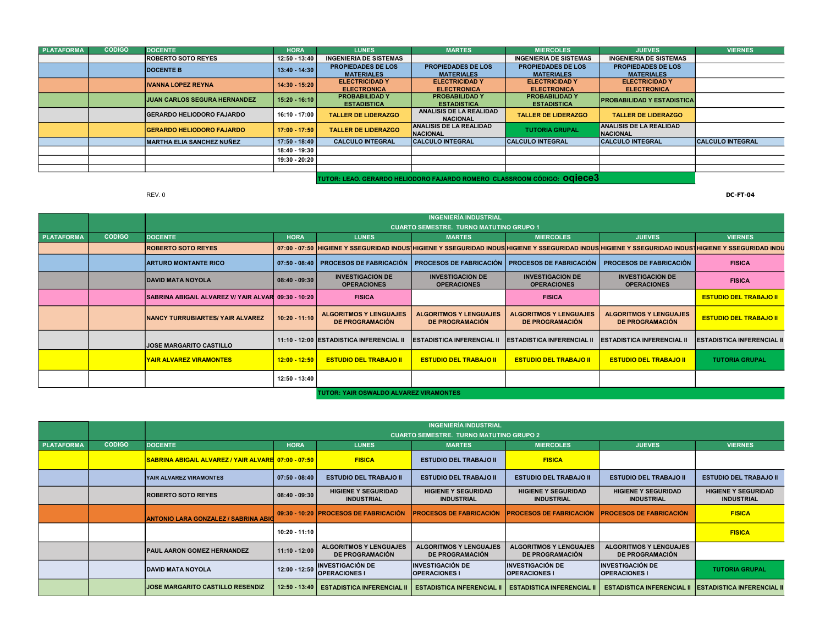| <b>PLATAFORMA</b> | <b>CODIGO</b> | <b>DOCENTE</b>                      | <b>HORA</b>     | <b>LUNES</b>                  | <b>MARTES</b>                  | <b>MIERCOLES</b>                                                                | <b>JUEVES</b>                     | <b>VIERNES</b>          |
|-------------------|---------------|-------------------------------------|-----------------|-------------------------------|--------------------------------|---------------------------------------------------------------------------------|-----------------------------------|-------------------------|
|                   |               | <b>ROBERTO SOTO REYES</b>           | 12:50 - 13:40   | <b>INGENIERIA DE SISTEMAS</b> |                                | <b>INGENIERIA DE SISTEMAS</b>                                                   | <b>INGENIERIA DE SISTEMAS</b>     |                         |
|                   |               | <b>DOCENTE B</b>                    | 13:40 - 14:30   | <b>PROPIEDADES DE LOS</b>     | <b>PROPIEDADES DE LOS</b>      | <b>PROPIEDADES DE LOS</b>                                                       | <b>PROPIEDADES DE LOS</b>         |                         |
|                   |               |                                     |                 | <b>MATERIALES</b>             | <b>MATERIALES</b>              | <b>MATERIALES</b>                                                               | <b>MATERIALES</b>                 |                         |
|                   |               | <b>IVANNA LOPEZ REYNA</b>           | $14:30 - 15:20$ | <b>ELECTRICIDAD Y</b>         | <b>ELECTRICIDAD Y</b>          | <b>ELECTRICIDAD Y</b>                                                           | <b>ELECTRICIDAD Y</b>             |                         |
|                   |               |                                     |                 | <b>ELECTRONICA</b>            | <b>ELECTRONICA</b>             | <b>ELECTRONICA</b>                                                              | <b>ELECTRONICA</b>                |                         |
|                   |               | <b>JUAN CARLOS SEGURA HERNANDEZ</b> | 15:20 - 16:10   | <b>PROBABILIDAD Y</b>         | <b>PROBABILIDAD Y</b>          | <b>PROBABILIDAD Y</b>                                                           | <b>PROBABILIDAD Y ESTADISTICA</b> |                         |
|                   |               |                                     |                 | <b>ESTADISTICA</b>            | <b>ESTADISTICA</b>             | <b>ESTADISTICA</b>                                                              |                                   |                         |
|                   |               | <b>IGERARDO HELIODORO FAJARDO</b>   | 16:10 - 17:00   | <b>TALLER DE LIDERAZGO</b>    | ANALISIS DE LA REALIDAD        | <b>TALLER DE LIDERAZGO</b>                                                      | <b>TALLER DE LIDERAZGO</b>        |                         |
|                   |               |                                     |                 |                               | <b>NACIONAL</b>                |                                                                                 |                                   |                         |
|                   |               | <b>GERARDO HELIODORO FAJARDO</b>    | $17:00 - 17:50$ | <b>TALLER DE LIDERAZGO</b>    | <b>ANALISIS DE LA REALIDAD</b> | <b>TUTORIA GRUPAL</b>                                                           | ANALISIS DE LA REALIDAD           |                         |
|                   |               |                                     |                 |                               | <b>NACIONAL</b>                |                                                                                 | <b>NACIONAL</b>                   |                         |
|                   |               | <b>MARTHA ELIA SANCHEZ NUÑEZ</b>    | 17:50 - 18:40   | <b>CALCULO INTEGRAL</b>       | <b>CALCULO INTEGRAL</b>        | <b>CALCULO INTEGRAL</b>                                                         | <b>CALCULO INTEGRAL</b>           | <b>CALCULO INTEGRAL</b> |
|                   |               |                                     | 18:40 - 19:30   |                               |                                |                                                                                 |                                   |                         |
|                   |               |                                     | 19:30 - 20:20   |                               |                                |                                                                                 |                                   |                         |
|                   |               |                                     |                 |                               |                                |                                                                                 |                                   |                         |
|                   |               |                                     |                 |                               |                                | the contract of the contract of the contract of the contract of the contract of |                                   |                         |

TUTOR: LEAO. GERARDO HELIODORO FAJARDO ROMERO CLASSROOM CÓDIGO: OQIECE3

REV. 0 DC-FT-04

|            |               | <b>INGENIERÍA INDUSTRIAL</b>                        |                 |                                                         |                                                         |                                                         |                                                                                                                                                                                 |                                   |  |  |
|------------|---------------|-----------------------------------------------------|-----------------|---------------------------------------------------------|---------------------------------------------------------|---------------------------------------------------------|---------------------------------------------------------------------------------------------------------------------------------------------------------------------------------|-----------------------------------|--|--|
|            |               |                                                     |                 |                                                         | <b>CUARTO SEMESTRE. TURNO MATUTINO GRUPO 1</b>          |                                                         |                                                                                                                                                                                 |                                   |  |  |
| PLATAFORMA | <b>CODIGO</b> | <b>DOCENTE</b>                                      | <b>HORA</b>     | <b>LUNES</b>                                            | <b>MARTES</b>                                           | <b>MIERCOLES</b>                                        | <b>JUEVES</b>                                                                                                                                                                   | <b>VIERNES</b>                    |  |  |
|            |               | <b>ROBERTO SOTO REYES</b>                           |                 |                                                         |                                                         |                                                         | 07:00 - 07:50  HIGIENE Y SSEGURIDAD INDUS HIGIENE Y SSEGURIDAD INDUS HIGIENE Y SSEGURIDAD INDUS HIGIENE Y SSEGURIDAD INDUS HIGIENE Y SSEGURIDAD INDUS HIGIENE Y SSEGURIDAD INDU |                                   |  |  |
|            |               | <b>ARTURO MONTANTE RICO</b>                         |                 | 07:50 - 08:40 PROCESOS DE FABRICACIÓN                   | <b>PROCESOS DE FABRICACIÓN</b>                          | <b>PROCESOS DE FABRICACIÓN</b>                          | <b>PROCESOS DE FABRICACIÓN</b>                                                                                                                                                  | <b>FISICA</b>                     |  |  |
|            |               | <b>DAVID MATA NOYOLA</b>                            | $08:40 - 09:30$ | <b>INVESTIGACION DE</b><br><b>OPERACIONES</b>           | <b>INVESTIGACION DE</b><br><b>OPERACIONES</b>           | <b>INVESTIGACION DE</b><br><b>OPERACIONES</b>           | <b>INVESTIGACION DE</b><br><b>OPERACIONES</b>                                                                                                                                   | <b>FISICA</b>                     |  |  |
|            |               | SABRINA ABIGAIL ALVAREZ V/ YAIR ALVAR 09:30 - 10:20 |                 | <b>FISICA</b>                                           |                                                         | <b>FISICA</b>                                           |                                                                                                                                                                                 | <b>ESTUDIO DEL TRABAJO II</b>     |  |  |
|            |               | <b>NANCY TURRUBIARTES/ YAIR ALVAREZ</b>             | $10:20 - 11:10$ | <b>ALGORITMOS Y LENGUAJES</b><br><b>DE PROGRAMACIÓN</b> | <b>ALGORITMOS Y LENGUAJES</b><br><b>DE PROGRAMACIÓN</b> | <b>ALGORITMOS Y LENGUAJES</b><br><b>DE PROGRAMACIÓN</b> | <b>ALGORITMOS Y LENGUAJES</b><br><b>DE PROGRAMACIÓN</b>                                                                                                                         | <b>ESTUDIO DEL TRABAJO II</b>     |  |  |
|            |               | <b>JOSE MARGARITO CASTILLO</b>                      |                 | │ 11:10 - 12:00 ESTADISTICA INFERENCIAL II              | <b>ESTADISTICA INFERENCIAL II</b>                       | <b>ESTADISTICA INFERENCIAL II</b>                       | <b>IESTADISTICA INFERENCIAL II</b>                                                                                                                                              | <b>IESTADISTICA INFERENCIAL I</b> |  |  |
|            |               | <b>YAIR ALVAREZ VIRAMONTES</b>                      | $12:00 - 12:50$ | <b>ESTUDIO DEL TRABAJO II</b>                           | <b>ESTUDIO DEL TRABAJO II</b>                           | <b>ESTUDIO DEL TRABAJO II</b>                           | <b>ESTUDIO DEL TRABAJO II</b>                                                                                                                                                   | <b>TUTORIA GRUPAL</b>             |  |  |
|            |               |                                                     | 12:50 - 13:40   |                                                         |                                                         |                                                         |                                                                                                                                                                                 |                                   |  |  |
|            |               |                                                     |                 | TUTOR: YAIR OSWALDO ALVAREZ VIRAMONTES                  |                                                         |                                                         |                                                                                                                                                                                 |                                   |  |  |

|                   |               |                                                     | <b>INGENIERÍA INDUSTRIAL</b> |                                                         |                                                         |                                                         |                                                         |                                                 |  |  |
|-------------------|---------------|-----------------------------------------------------|------------------------------|---------------------------------------------------------|---------------------------------------------------------|---------------------------------------------------------|---------------------------------------------------------|-------------------------------------------------|--|--|
|                   |               |                                                     |                              |                                                         | <b>CUARTO SEMESTRE. TURNO MATUTINO GRUPO 2</b>          |                                                         |                                                         |                                                 |  |  |
| <b>PLATAFORMA</b> | <b>CODIGO</b> | <b>DOCENTE</b>                                      | <b>HORA</b>                  | <b>LUNES</b>                                            | <b>MARTES</b>                                           | <b>MIERCOLES</b>                                        | <b>JUEVES</b>                                           | <b>VIERNES</b>                                  |  |  |
|                   |               | SABRINA ABIGAIL ALVAREZ / YAIR ALVARE 07:00 - 07:50 |                              | <b>FISICA</b>                                           | <b>ESTUDIO DEL TRABAJO II</b>                           | <b>FISICA</b>                                           |                                                         |                                                 |  |  |
|                   |               | YAIR ALVAREZ VIRAMONTES                             | $07:50 - 08:40$              | <b>ESTUDIO DEL TRABAJO II</b>                           | <b>ESTUDIO DEL TRABAJO II</b>                           | <b>ESTUDIO DEL TRABAJO II</b>                           | <b>ESTUDIO DEL TRABAJO II</b>                           | <b>ESTUDIO DEL TRABAJO II</b>                   |  |  |
|                   |               | <b>ROBERTO SOTO REYES</b>                           | $08:40 - 09:30$              | <b>HIGIENE Y SEGURIDAD</b><br><b>INDUSTRIAL</b>         | <b>HIGIENE Y SEGURIDAD</b><br><b>INDUSTRIAL</b>         | <b>HIGIENE Y SEGURIDAD</b><br><b>INDUSTRIAL</b>         | <b>HIGIENE Y SEGURIDAD</b><br><b>INDUSTRIAL</b>         | <b>HIGIENE Y SEGURIDAD</b><br><b>INDUSTRIAL</b> |  |  |
|                   |               | <b>ANTONIO LARA GONZALEZ / SABRINA ABIC</b>         |                              | 09:30 - 10:20 PROCESOS DE FABRICACIÓN                   | <b>PROCESOS DE FABRICACIÓN</b>                          | <b>PROCESOS DE FABRICACIÓN</b>                          | <b>PROCESOS DE FABRICACIÓN</b>                          | <b>FISICA</b>                                   |  |  |
|                   |               |                                                     | $10:20 - 11:10$              |                                                         |                                                         |                                                         |                                                         | <b>FISICA</b>                                   |  |  |
|                   |               | <b>PAUL AARON GOMEZ HERNANDEZ</b>                   | 11:10 - 12:00                | <b>ALGORITMOS Y LENGUAJES</b><br><b>DE PROGRAMACIÓN</b> | <b>ALGORITMOS Y LENGUAJES</b><br><b>DE PROGRAMACIÓN</b> | <b>ALGORITMOS Y LENGUAJES</b><br><b>DE PROGRAMACIÓN</b> | <b>ALGORITMOS Y LENGUAJES</b><br><b>DE PROGRAMACIÓN</b> |                                                 |  |  |
|                   |               | DAVID MATA NOYOLA                                   | $12:00 - 12:50$              | <b>INVESTIGACIÓN DE</b><br><b>OPERACIONES I</b>         | <b>IINVESTIGACIÓN DE</b><br><b>OPERACIONES I</b>        | <b>INVESTIGACIÓN DE</b><br><b>OPERACIONES I</b>         | <b>INVESTIGACIÓN DE</b><br><b>OPERACIONES I</b>         | <b>TUTORIA GRUPAL</b>                           |  |  |
|                   |               | <b>JOSE MARGARITO CASTILLO RESENDIZ</b>             | $12:50 - 13:40$              | <b>ESTADISTICA INFERENCIAL II</b>                       | <b>ESTADISTICA INFERENCIAL II</b>                       | <b>ESTADISTICA INFERENCIAL II</b>                       | <b>ESTADISTICA INFERENCIAL II</b>                       | <b>ESTADISTICA INFERENCIAL II</b>               |  |  |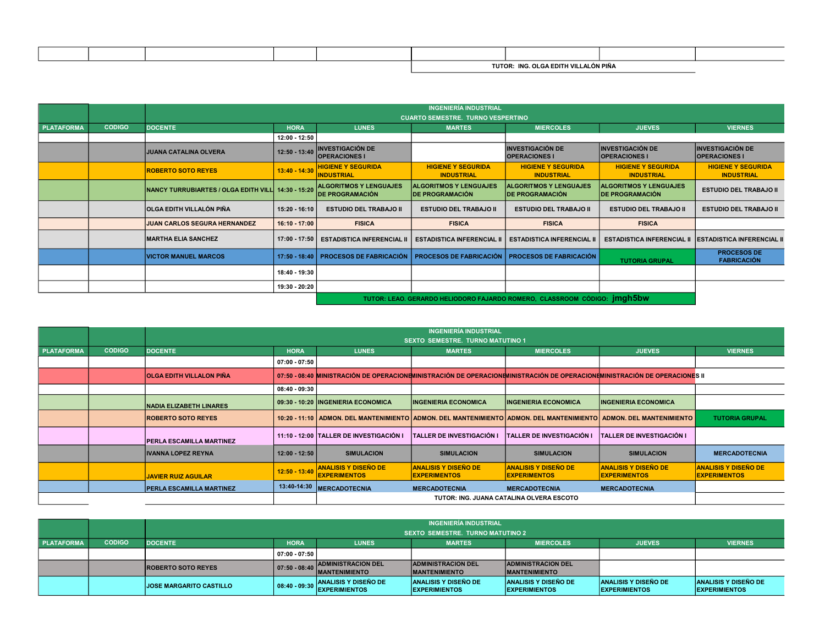|  |  | TUTOR: | <b>BUC</b><br><b>AGE OF GA FDITH V"</b> | ALÒN PIÑA |  |
|--|--|--------|-----------------------------------------|-----------|--|
|  |  |        |                                         |           |  |

|                   |               |                                                     |                 |                                                          | <b>INGENIERÍA INDUSTRIAL</b>                            |                                                                                 |                                                              |                                                 |
|-------------------|---------------|-----------------------------------------------------|-----------------|----------------------------------------------------------|---------------------------------------------------------|---------------------------------------------------------------------------------|--------------------------------------------------------------|-------------------------------------------------|
|                   |               |                                                     |                 |                                                          | <b>CUARTO SEMESTRE. TURNO VESPERTINO</b>                |                                                                                 |                                                              |                                                 |
| <b>PLATAFORMA</b> | <b>CODIGO</b> | <b>DOCENTE</b>                                      | <b>HORA</b>     | <b>LUNES</b>                                             | <b>MARTES</b>                                           | <b>MIERCOLES</b>                                                                | <b>JUEVES</b>                                                | <b>VIERNES</b>                                  |
|                   |               |                                                     | 12:00 - 12:50   |                                                          |                                                         |                                                                                 |                                                              |                                                 |
|                   |               | <b>JUANA CATALINA OLVERA</b>                        | $12:50 - 13:40$ | <b>INVESTIGACIÓN DE</b><br><b>OPERACIONES I</b>          |                                                         | <b>INVESTIGACIÓN DE</b><br><b>OPERACIONES I</b>                                 | <b>INVESTIGACIÓN DE</b><br><b>OPERACIONES I</b>              | <b>INVESTIGACIÓN DE</b><br><b>OPERACIONES I</b> |
|                   |               | <b>ROBERTO SOTO REYES</b>                           | $13:40 - 14:30$ | <b>HIGIENE Y SEGURIDA</b><br><b>INDUSTRIAL</b>           | <b>HIGIENE Y SEGURIDA</b><br><b>INDUSTRIAL</b>          | <b>HIGIENE Y SEGURIDA</b><br><b>INDUSTRIAL</b>                                  | <b>HIGIENE Y SEGURIDA</b><br><b>INDUSTRIAL</b>               | <b>HIGIENE Y SEGURIDA</b><br><b>INDUSTRIAL</b>  |
|                   |               | NANCY TURRUBIARTES / OLGA EDITH VILL  14:30 - 15:20 |                 | <b>ALGORITMOS Y LENGUAJES</b><br><b>IDE PROGRAMACIÓN</b> | <b>ALGORITMOS Y LENGUAJES</b><br><b>DE PROGRAMACIÓN</b> | <b>ALGORITMOS Y LENGUAJES</b><br><b>IDE PROGRAMACIÓN</b>                        | <b>ALGORITMOS Y LENGUAJES</b><br><b>IDE PROGRAMACIÓN</b>     | <b>ESTUDIO DEL TRABAJO II</b>                   |
|                   |               | OLGA EDITH VILLALÓN PIÑA                            | 15:20 - 16:10   | <b>ESTUDIO DEL TRABAJO II</b>                            | <b>ESTUDIO DEL TRABAJO II</b>                           | <b>ESTUDIO DEL TRABAJO II</b>                                                   | <b>ESTUDIO DEL TRABAJO II</b>                                | <b>ESTUDIO DEL TRABAJO II</b>                   |
|                   |               | JUAN CARLOS SEGURA HERNANDEZ                        | 16:10 - 17:00   | <b>FISICA</b>                                            | <b>FISICA</b>                                           | <b>FISICA</b>                                                                   | <b>FISICA</b>                                                |                                                 |
|                   |               | <b>MARTHA ELIA SANCHEZ</b>                          | 17:00 - 17:50   | <b>ESTADISTICA INFERENCIAL II</b>                        | <b>ESTADISTICA INFERENCIAL</b>                          | <b>ESTADISTICA INFERENCIAL II</b>                                               | <b>ESTADISTICA INFERENCIAL II ESTADISTICA INFERENCIAL II</b> |                                                 |
|                   |               | <b>VICTOR MANUEL MARCOS</b>                         | $17:50 - 18:40$ | <b>PROCESOS DE FABRICACIÓN</b>                           | <b>PROCESOS DE FABRICACIÓN</b>                          | <b>PROCESOS DE FABRICACIÓN</b>                                                  | <b>TUTORIA GRUPAL</b>                                        | <b>PROCESOS DE</b><br><b>FABRICACIÓN</b>        |
|                   |               |                                                     | 18:40 - 19:30   |                                                          |                                                         |                                                                                 |                                                              |                                                 |
|                   |               |                                                     | 19:30 - 20:20   |                                                          |                                                         |                                                                                 |                                                              |                                                 |
|                   |               |                                                     |                 |                                                          |                                                         | TUTOR: LEAO. GERARDO HELIODORO FAJARDO ROMERO, CLASSROOM CÓDIGO: <i>imgh5bw</i> |                                                              |                                                 |

|                   |               |                                 | <b>INGENIERÍA INDUSTRIAL</b><br><b>SEXTO SEMESTRE. TURNO MATUTINO 1</b> |                                                           |                                                    |                                                     |                                                                                                                            |                                                    |  |  |  |
|-------------------|---------------|---------------------------------|-------------------------------------------------------------------------|-----------------------------------------------------------|----------------------------------------------------|-----------------------------------------------------|----------------------------------------------------------------------------------------------------------------------------|----------------------------------------------------|--|--|--|
| <b>PLATAFORMA</b> | <b>CODIGO</b> | <b>DOCENTE</b>                  | <b>HORA</b>                                                             | <b>LUNES</b>                                              | <b>MARTES</b>                                      | <b>MIERCOLES</b>                                    | <b>JUEVES</b>                                                                                                              | <b>VIERNES</b>                                     |  |  |  |
|                   |               |                                 | $07:00 - 07:50$                                                         |                                                           |                                                    |                                                     |                                                                                                                            |                                                    |  |  |  |
|                   |               | <b>OLGA EDITH VILLALON PIÑA</b> |                                                                         |                                                           |                                                    |                                                     | 07:50 - 08:40 MINISTRACIÓN DE OPERACIONEMINISTRACIÓN DE OPERACIONEMINISTRACIÓN DE OPERACIONEMINISTRACIÓN DE OPERACIONES II |                                                    |  |  |  |
|                   |               |                                 | $08:40 - 09:30$                                                         |                                                           |                                                    |                                                     |                                                                                                                            |                                                    |  |  |  |
|                   |               | <b>NADIA ELIZABETH LINARES</b>  |                                                                         | 09:30 - 10:20  INGENIERIA ECONOMICA                       | <b>INGENIERIA ECONOMICA</b>                        | <b>INGENIERIA ECONOMICA</b>                         | <b>INGENIERIA ECONOMICA</b>                                                                                                |                                                    |  |  |  |
|                   |               | <b>ROBERTO SOTO REYES</b>       |                                                                         |                                                           |                                                    |                                                     | 10:20 - 11:10 ADMON. DEL MANTENIMIENTO ADMON. DEL MANTENIMIENTO ADMON. DEL MANTENIMIENTO ADMON. DEL MANTENIMIENTO          | <b>TUTORIA GRUPAL</b>                              |  |  |  |
|                   |               | <b>PERLA ESCAMILLA MARTINEZ</b> |                                                                         | 11:10 - 12:00 TALLER DE INVESTIGACIÓN I                   | <b>TALLER DE INVESTIGACIÓN I</b>                   | <b>TALLER DE INVESTIGACIÓN I</b>                    | TALLER DE INVESTIGACIÓN I                                                                                                  |                                                    |  |  |  |
|                   |               | <b>IVANNA LOPEZ REYNA</b>       | $12:00 - 12:50$                                                         | <b>SIMULACION</b>                                         | <b>SIMULACION</b>                                  | <b>SIMULACION</b>                                   | <b>SIMULACION</b>                                                                                                          | <b>MERCADOTECNIA</b>                               |  |  |  |
|                   |               | <b>JAVIER RUIZ AGUILAR</b>      |                                                                         | 12:50 - 13:40 ANALISIS Y DISEÑO DE<br><b>EXPERIMENTOS</b> | <b>ANALISIS Y DISEÑO DE</b><br><b>EXPERIMENTOS</b> | <b>ANALISIS Y DISEÑO DE</b><br><b>IEXPERIMENTOS</b> | <b>ANALISIS Y DISEÑO DE</b><br><b>EXPERIMENTOS</b>                                                                         | <b>ANALISIS Y DISEÑO DE</b><br><b>EXPERIMENTOS</b> |  |  |  |
|                   |               | <b>PERLA ESCAMILLA MARTINEZ</b> |                                                                         | 13:40-14:30 MERCADOTECNIA                                 | <b>MERCADOTECNIA</b>                               | <b>MERCADOTECNIA</b>                                | <b>MERCADOTECNIA</b>                                                                                                       |                                                    |  |  |  |
|                   |               |                                 |                                                                         |                                                           |                                                    | TUTOR: ING. JUANA CATALINA OLVERA ESCOTO            |                                                                                                                            |                                                    |  |  |  |

|                   |               | <b>INGENIERÍA INDUSTRIAL</b><br>SEXTO SEMESTRE. TURNO MATUTINO 2 |                   |                                                     |                                                     |                                                      |                                                     |                                                     |  |  |
|-------------------|---------------|------------------------------------------------------------------|-------------------|-----------------------------------------------------|-----------------------------------------------------|------------------------------------------------------|-----------------------------------------------------|-----------------------------------------------------|--|--|
| <b>PLATAFORMA</b> | <b>CODIGO</b> | <b>DOCENTE</b>                                                   | <b>HORA</b>       | <b>LUNES</b>                                        | <b>MARTES</b>                                       | <b>MIERCOLES</b>                                     | <b>JUEVES</b>                                       | <b>VIERNES</b>                                      |  |  |
|                   |               |                                                                  | 07:00 - 07:50     |                                                     |                                                     |                                                      |                                                     |                                                     |  |  |
|                   |               | <b>ROBERTO SOTO REYES</b>                                        | $ 07:50 - 08:40 $ | <b>ADMINISTRACION DEL</b><br><b>MANTENIMIENTO</b>   | <b>ADMINISTRACION DEL</b><br><b>IMANTENIMIENTO</b>  | <b>ADMINISTRACION DEL</b><br><b>IMANTENIMIENTO</b>   |                                                     |                                                     |  |  |
|                   |               | <b>JOSE MARGARITO CASTILLO</b>                                   | $08:40 - 09:30$   | <b>ANALISIS Y DISEÑO DE</b><br><b>EXPERIMIENTOS</b> | <b>ANALISIS Y DISEÑO DE</b><br><b>EXPERIMIENTOS</b> | <b>ANALISIS Y DISEÑO DE</b><br><b>IEXPERIMIENTOS</b> | <b>ANALISIS Y DISEÑO DE</b><br><b>EXPERIMIENTOS</b> | <b>ANALISIS Y DISEÑO DE</b><br><b>EXPERIMIENTOS</b> |  |  |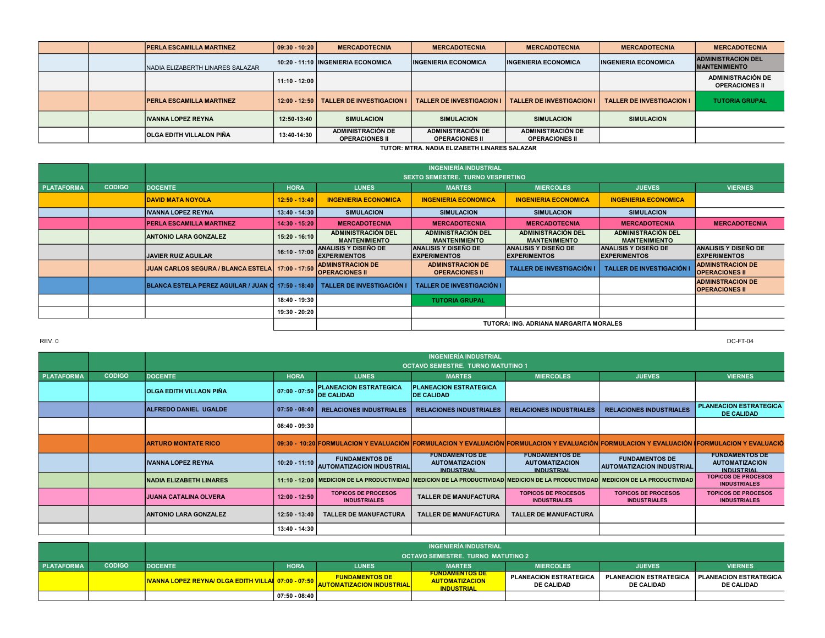|  | <b>PERLA ESCAMILLA MARTINEZ</b>   | 09:30 - 10:20   | <b>MERCADOTECNIA</b>                       | <b>MERCADOTECNIA</b>                       | <b>MERCADOTECNIA</b>                              | <b>MERCADOTECNIA</b>             | <b>MERCADOTECNIA</b>                              |
|--|-----------------------------------|-----------------|--------------------------------------------|--------------------------------------------|---------------------------------------------------|----------------------------------|---------------------------------------------------|
|  | INADIA ELIZABERTH LINARES SALAZAR |                 | 10:20 - 11:10 INGENIERIA ECONOMICA         | <b>INGENIERIA ECONOMICA</b>                | <b>INGENIERIA ECONOMICA</b>                       | <b>INGENIERIA ECONOMICA</b>      | <b>ADMINISTRACION DEL</b><br><b>MANTENIMIENTO</b> |
|  |                                   | 11:10 - 12:00   |                                            |                                            |                                                   |                                  | <b>ADMINISTRACIÓN DE</b><br><b>OPERACIONES II</b> |
|  | <b>PERLA ESCAMILLA MARTINEZ</b>   | $12:00 - 12:50$ | <b>TALLER DE INVESTIGACION I</b>           | <b>TALLER DE INVESTIGACION I</b>           | <b>TALLER DE INVESTIGACION I</b>                  | <b>TALLER DE INVESTIGACION I</b> | <b>TUTORIA GRUPAL</b>                             |
|  | <b>IVANNA LOPEZ REYNA</b>         | 12:50-13:40     | <b>SIMULACION</b>                          | <b>SIMULACION</b>                          | <b>SIMULACION</b>                                 | <b>SIMULACION</b>                |                                                   |
|  | <b>OLGA EDITH VILLALON PIÑA</b>   | 13:40-14:30     | ADMINISTRACIÓN DE<br><b>OPERACIONES II</b> | ADMINISTRACIÓN DE<br><b>OPERACIONES II</b> | <b>ADMINISTRACIÓN DE</b><br><b>OPERACIONES II</b> |                                  |                                                   |

TUTOR: MTRA. NADIA ELIZABETH LINARES SALAZAR

|                   |               |                                                                                |                 |                                                    | <b>INGENIERÍA INDUSTRIAL</b>                        |                                                    |                                                   |                                                    |  |  |
|-------------------|---------------|--------------------------------------------------------------------------------|-----------------|----------------------------------------------------|-----------------------------------------------------|----------------------------------------------------|---------------------------------------------------|----------------------------------------------------|--|--|
|                   |               |                                                                                |                 |                                                    | <b>SEXTO SEMESTRE. TURNO VESPERTINO</b>             |                                                    |                                                   |                                                    |  |  |
| <b>PLATAFORMA</b> | <b>CODIGO</b> | <b>DOCENTE</b>                                                                 | <b>HORA</b>     | <b>LUNES</b>                                       | <b>MARTES</b>                                       | <b>MIERCOLES</b>                                   | <b>JUEVES</b>                                     | <b>VIERNES</b>                                     |  |  |
|                   |               | <b>DAVID MATA NOYOLA</b>                                                       | $12:50 - 13:40$ | <b>INGENIERIA ECONOMICA</b>                        | <b>INGENIERIA ECONOMICA</b>                         | <b>INGENIERIA ECONOMICA</b>                        | <b>INGENIERIA ECONOMICA</b>                       |                                                    |  |  |
|                   |               | <b>IVANNA LOPEZ REYNA</b>                                                      | 13:40 - 14:30   | <b>SIMULACION</b>                                  | <b>SIMULACION</b>                                   | <b>SIMULACION</b>                                  | <b>SIMULACION</b>                                 |                                                    |  |  |
|                   |               | <b>PERLA ESCAMILLA MARTINEZ</b>                                                | $14:30 - 15:20$ | <b>MERCADOTECNIA</b>                               | <b>MERCADOTECNIA</b>                                | <b>MERCADOTECNIA</b>                               | <b>MERCADOTECNIA</b>                              | <b>MERCADOTECNIA</b>                               |  |  |
|                   |               | <b>ANTONIO LARA GONZALEZ</b>                                                   | $15:20 - 16:10$ | <b>ADMINISTRACIÓN DEL</b><br><b>MANTENIMIENTO</b>  | <b>ADMINISTRACIÓN DEL</b><br><b>MANTENIMIENTO</b>   | <b>ADMINISTRACIÓN DEL</b><br><b>MANTENIMIENTO</b>  | <b>ADMINISTRACIÓN DEL</b><br><b>MANTENIMIENTO</b> |                                                    |  |  |
|                   |               | <b>JAVIER RUIZ AGUILAR</b>                                                     | 16:10 - 17:00   | <b>ANALISIS Y DISEÑO DE</b><br><b>EXPERIMENTOS</b> | <b>ANALISIS Y DISEÑO DE</b><br><b>IEXPERIMENTOS</b> | <b>ANALISIS Y DISEÑO DE</b><br><b>EXPERIMENTOS</b> | ANALISIS Y DISEÑO DE<br><b>EXPERIMENTOS</b>       | <b>ANALISIS Y DISEÑO DE</b><br><b>EXPERIMENTOS</b> |  |  |
|                   |               | JUAN CARLOS SEGURA / BLANCA ESTELA 17:00 - 17:50                               |                 | <b>ADMINSTRACION DE</b><br><b>OPERACIONES II</b>   | <b>ADMINSTRACION DE</b><br><b>OPERACIONES II</b>    | TALLER DE INVESTIGACIÓN                            | <b>TALLER DE INVESTIGACIÓN</b>                    | <b>ADMINSTRACION DE</b><br><b>OPERACIONES II</b>   |  |  |
|                   |               | BLANCA ESTELA PEREZ AGUILAR / JUAN C 17:50 - 18:40   TALLER DE INVESTIGACIÓN I |                 |                                                    | <b>TALLER DE INVESTIGACIÓN I</b>                    |                                                    |                                                   | <b>ADMINSTRACION DE</b><br><b>OPERACIONES II</b>   |  |  |
|                   |               |                                                                                | 18:40 - 19:30   |                                                    | <b>TUTORIA GRUPAL</b>                               |                                                    |                                                   |                                                    |  |  |
|                   |               |                                                                                | 19:30 - 20:20   |                                                    |                                                     |                                                    |                                                   |                                                    |  |  |
|                   |               | TUTORA: ING. ADRIANA MARGARITA MORALES                                         |                 |                                                    |                                                     |                                                    |                                                   |                                                    |  |  |

|                   |               | <b>INGENIERÍA INDUSTRIAL</b>             |                     |                                                           |                                                                                                                                      |                                                                     |                                                                                                                                                                     |                                                                     |  |  |  |  |
|-------------------|---------------|------------------------------------------|---------------------|-----------------------------------------------------------|--------------------------------------------------------------------------------------------------------------------------------------|---------------------------------------------------------------------|---------------------------------------------------------------------------------------------------------------------------------------------------------------------|---------------------------------------------------------------------|--|--|--|--|
|                   |               | <b>OCTAVO SEMESTRE. TURNO MATUTINO 1</b> |                     |                                                           |                                                                                                                                      |                                                                     |                                                                                                                                                                     |                                                                     |  |  |  |  |
| <b>PLATAFORMA</b> | <b>CODIGO</b> | <b>DOCENTE</b>                           | <b>HORA</b>         | <b>LUNES</b>                                              | <b>MARTES</b>                                                                                                                        | <b>MIERCOLES</b>                                                    | <b>JUEVES</b>                                                                                                                                                       | <b>VIERNES</b>                                                      |  |  |  |  |
|                   |               | <b>OLGA EDITH VILLAON PIÑA</b>           | $07:00 - 07:50$     | <b>PLANEACION ESTRATEGICA</b><br><b>DE CALIDAD</b>        | <b>PLANEACION ESTRATEGICA</b><br><b>DE CALIDAD</b>                                                                                   |                                                                     |                                                                                                                                                                     |                                                                     |  |  |  |  |
|                   |               | ALFREDO DANIEL UGALDE                    | $  07:50 - 08:40  $ | <b>RELACIONES INDUSTRIALES</b>                            | <b>RELACIONES INDUSTRIALES</b>                                                                                                       | <b>RELACIONES INDUSTRIALES</b>                                      | <b>RELACIONES INDUSTRIALES</b>                                                                                                                                      | <b>PLANEACION ESTRATEGICA</b><br><b>DE CALIDAD</b>                  |  |  |  |  |
|                   |               |                                          | 08:40 - 09:30       |                                                           |                                                                                                                                      |                                                                     |                                                                                                                                                                     |                                                                     |  |  |  |  |
|                   |               | <b>ARTURO MONTATE RICO</b>               |                     |                                                           |                                                                                                                                      |                                                                     | 09:30 - 10:20 FORMULACION Y EVALUACIÓN  FORMULACION Y EVALUACIÓN FORMULACION Y EVALUACIÓN FORMULACION Y EVALUACIÓN FORMULACION Y EVALUACIÓN FORMULACION Y EVALUACIÓ |                                                                     |  |  |  |  |
|                   |               | <b>IVANNA LOPEZ REYNA</b>                | $10:20 - 11:10$     | <b>FUNDAMENTOS DE</b><br><b>AUTOMATIZACION INDUSTRIAL</b> | <b>FUNDAMENTOS DE</b><br><b>AUTOMATIZACION</b><br><b>INDUSTRIAL</b>                                                                  | <b>FUNDAMENTOS DE</b><br><b>AUTOMATIZACION</b><br><b>INDUSTRIAL</b> | <b>FUNDAMENTOS DE</b><br><b>AUTOMATIZACION INDUSTRIAL</b>                                                                                                           | <b>FUNDAMENTOS DE</b><br><b>AUTOMATIZACION</b><br><b>INDUSTRIAL</b> |  |  |  |  |
|                   |               | <b>NADIA ELIZABETH LINARES</b>           |                     |                                                           | 11:10 - 12:00 IMEDICION DE LA PRODUCTIVIDAD IMEDICION DE LA PRODUCTIVIDAD MEDICION DE LA PRODUCTIVIDADI MEDICION DE LA PRODUCTIVIDAD |                                                                     |                                                                                                                                                                     | <b>TOPICOS DE PROCESOS</b><br><b>INDUSTRIALES</b>                   |  |  |  |  |
|                   |               | <b>JUANA CATALINA OLVERA</b>             | $12:00 - 12:50$     | <b>TOPICOS DE PROCESOS</b><br><b>INDUSTRIALES</b>         | <b>TALLER DE MANUFACTURA</b>                                                                                                         | <b>TOPICOS DE PROCESOS</b><br><b>INDUSTRIALES</b>                   | <b>TOPICOS DE PROCESOS</b><br><b>INDUSTRIALES</b>                                                                                                                   | <b>TOPICOS DE PROCESOS</b><br><b>INDUSTRIALES</b>                   |  |  |  |  |
|                   |               | <b>ANTONIO LARA GONZALEZ</b>             | 12:50 - 13:40       | <b>TALLER DE MANUFACTURA</b>                              | <b>TALLER DE MANUFACTURA</b>                                                                                                         | <b>TALLER DE MANUFACTURA</b>                                        |                                                                                                                                                                     |                                                                     |  |  |  |  |
|                   |               |                                          | 13:40 - 14:30       |                                                           |                                                                                                                                      |                                                                     |                                                                                                                                                                     |                                                                     |  |  |  |  |

|                   |               | <b>INGENIERIA INDUSTRIAL</b>                                                 |                 |                                                           |                                                                     |                                                    |                                                    |                                                    |  |  |  |
|-------------------|---------------|------------------------------------------------------------------------------|-----------------|-----------------------------------------------------------|---------------------------------------------------------------------|----------------------------------------------------|----------------------------------------------------|----------------------------------------------------|--|--|--|
|                   |               | <b>OCTAVO SEMESTRE. TURNO MATUTINO 2</b>                                     |                 |                                                           |                                                                     |                                                    |                                                    |                                                    |  |  |  |
| <b>PLATAFORMA</b> | <b>CODIGO</b> | <b>DOCENTE</b>                                                               | <b>HORA</b>     | <b>LUNES</b>                                              | <b>MARTES</b>                                                       | <b>MIERCOLES</b>                                   | <b>JUEVES</b>                                      | <b>VIERNES</b>                                     |  |  |  |
|                   |               | <mark>IVANNA LOPEZ REYNA/ OLGA EDITH VILLAI</mark> I 07:00 - 07:50 │ <u></u> |                 | <b>FUNDAMENTOS DE</b><br><b>AUTOMATIZACION INDUSTRIAL</b> | <b>FUNDAMENTOS DE</b><br><b>AUTOMATIZACION</b><br><b>INDUSTRIAL</b> | <b>PLANEACION ESTRATEGICA</b><br><b>DE CALIDAD</b> | <b>PLANEACION ESTRATEGICA</b><br><b>DE CALIDAD</b> | <b>PLANEACION ESTRATEGICA</b><br><b>DE CALIDAD</b> |  |  |  |
|                   |               |                                                                              | $07:50 - 08:40$ |                                                           |                                                                     |                                                    |                                                    |                                                    |  |  |  |

REV. 0 DC-FT-04